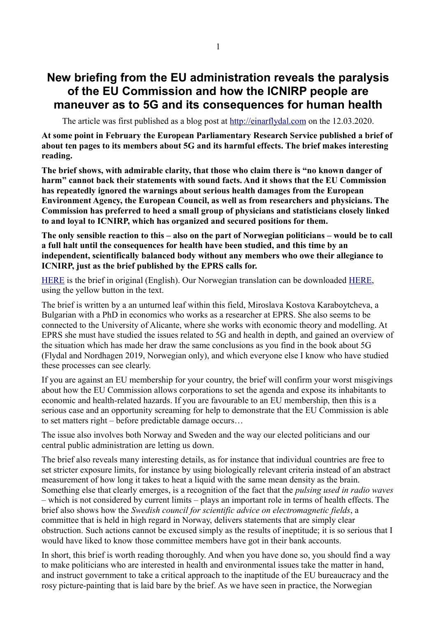## **New briefing from the EU administration reveals the paralysis of the EU Commission and how the ICNIRP people are maneuver as to 5G and its consequences for human health**

The article was first published as a blog post at [http://einarflydal.com](http://einarflydal.com/) on the 12.03.2020.

**At some point in February the European Parliamentary Research Service published a brief of about ten pages to its members about 5G and its harmful effects. The brief makes interesting reading.**

**The brief shows, with admirable clarity, that those who claim there is "no known danger of harm" cannot back their statements with sound facts. And it shows that the EU Commission has repeatedly ignored the warnings about serious health damages from the European Environment Agency, the European Council, as well as from researchers and physicians. The Commission has preferred to heed a small group of physicians and statisticians closely linked to and loyal to ICNIRP, which has organized and secured positions for them.** 

**The only sensible reaction to this – also on the part of Norwegian politicians – would be to call a full halt until the consequences for health have been studied, and this time by an independent, scientifically balanced body without any members who owe their allegiance to ICNIRP, just as the brief published by the EPRS calls for.** 

[HERE](https://www.europarl.europa.eu/RegData/etudes/BRIE/2020/646172/EPRS_BRI(2020)646172_EN.pdf) is the brief in original (English). Our Norwegian translation can be downloaded [HERE,](https://einarflydal.com/2020/03/12/utredning-fra-eu-byrakratiet-avslorer-kommisjonens-tafatthet-og-icnirp-folkenes-spill-med-5g-og-helseskader/) using the yellow button in the text.

The brief is written by a an unturned leaf within this field, Miroslava Kostova Karaboytcheva, a Bulgarian with a PhD in economics who works as a researcher at EPRS. She also seems to be connected to the University of Alicante, where she works with economic theory and modelling. At EPRS she must have studied the issues related to 5G and health in depth, and gained an overview of the situation which has made her draw the same conclusions as you find in the book about 5G (Flydal and Nordhagen 2019, Norwegian only), and which everyone else I know who have studied these processes can see clearly.

If you are against an EU membership for your country, the brief will confirm your worst misgivings about how the EU Commission allows corporations to set the agenda and expose its inhabitants to economic and health-related hazards. If you are favourable to an EU membership, then this is a serious case and an opportunity screaming for help to demonstrate that the EU Commission is able to set matters right – before predictable damage occurs…

The issue also involves both Norway and Sweden and the way our elected politicians and our central public administration are letting us down.

The brief also reveals many interesting details, as for instance that individual countries are free to set stricter exposure limits, for instance by using biologically relevant criteria instead of an abstract measurement of how long it takes to heat a liquid with the same mean density as the brain. Something else that clearly emerges, is a recognition of the fact that the *pulsing used in radio waves* – which is not considered by current limits – plays an important role in terms of health effects. The brief also shows how the *Swedish council for scientific advice on electromagnetic fields*, a committee that is held in high regard in Norway, delivers statements that are simply clear obstruction. Such actions cannot be excused simply as the results of ineptitude; it is so serious that I would have liked to know those committee members have got in their bank accounts.

In short, this brief is worth reading thoroughly. And when you have done so, you should find a way to make politicians who are interested in health and environmental issues take the matter in hand, and instruct government to take a critical approach to the inaptitude of the EU bureaucracy and the rosy picture-painting that is laid bare by the brief. As we have seen in practice, the Norwegian